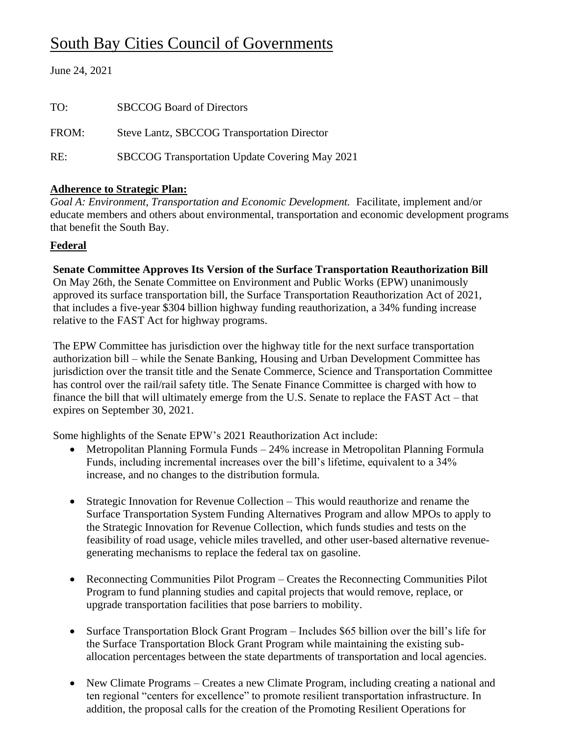# South Bay Cities Council of Governments

| June 24, 2021 |  |
|---------------|--|
|---------------|--|

| TO:   | <b>SBCCOG Board of Directors</b>                      |
|-------|-------------------------------------------------------|
| FROM: | Steve Lantz, SBCCOG Transportation Director           |
| RE:   | <b>SBCCOG Transportation Update Covering May 2021</b> |

# **Adherence to Strategic Plan:**

*Goal A: Environment, Transportation and Economic Development.* Facilitate, implement and/or educate members and others about environmental, transportation and economic development programs that benefit the South Bay.

#### **Federal**

**Senate Committee Approves Its Version of the Surface Transportation Reauthorization Bill** 

On May 26th, the Senate Committee on Environment and Public Works (EPW) unanimously approved its surface transportation bill, the Surface Transportation Reauthorization Act of 2021, that includes a five-year \$304 billion highway funding reauthorization, a 34% funding increase relative to the FAST Act for highway programs.

The EPW Committee has jurisdiction over the highway title for the next surface transportation authorization bill – while the Senate Banking, Housing and Urban Development Committee has jurisdiction over the transit title and the Senate Commerce, Science and Transportation Committee has control over the rail/rail safety title. The Senate Finance Committee is charged with how to finance the bill that will ultimately emerge from the U.S. Senate to replace the FAST Act – that expires on September 30, 2021.

Some highlights of the Senate EPW's 2021 Reauthorization Act include:

- Metropolitan Planning Formula Funds 24% increase in Metropolitan Planning Formula Funds, including incremental increases over the bill's lifetime, equivalent to a 34% increase, and no changes to the distribution formula.
- Strategic Innovation for Revenue Collection This would reauthorize and rename the Surface Transportation System Funding Alternatives Program and allow MPOs to apply to the Strategic Innovation for Revenue Collection, which funds studies and tests on the feasibility of road usage, vehicle miles travelled, and other user-based alternative revenuegenerating mechanisms to replace the federal tax on gasoline.
- Reconnecting Communities Pilot Program Creates the Reconnecting Communities Pilot Program to fund planning studies and capital projects that would remove, replace, or upgrade transportation facilities that pose barriers to mobility.
- Surface Transportation Block Grant Program Includes \$65 billion over the bill's life for the Surface Transportation Block Grant Program while maintaining the existing suballocation percentages between the state departments of transportation and local agencies.
- New Climate Programs Creates a new Climate Program, including creating a national and ten regional "centers for excellence" to promote resilient transportation infrastructure. In addition, the proposal calls for the creation of the Promoting Resilient Operations for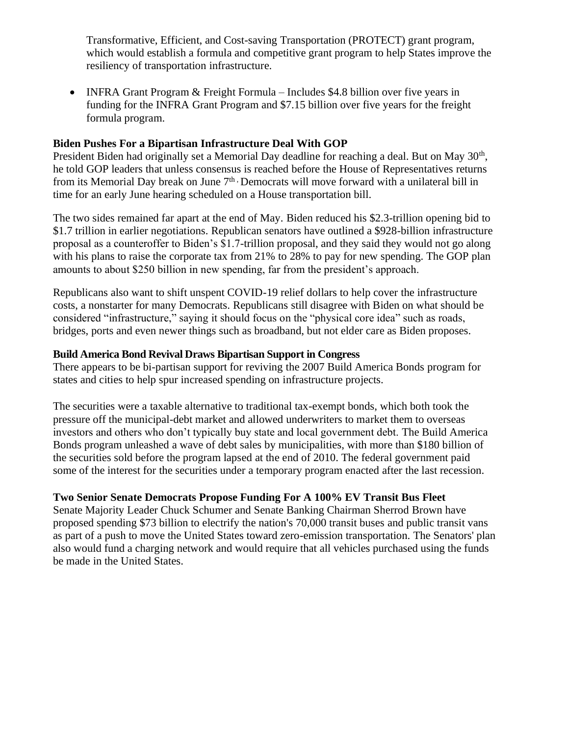Transformative, Efficient, and Cost-saving Transportation (PROTECT) grant program, which would establish a formula and competitive grant program to help States improve the resiliency of transportation infrastructure.

• INFRA Grant Program & Freight Formula – Includes \$4.8 billion over five years in funding for the INFRA Grant Program and \$7.15 billion over five years for the freight formula program.

#### **Biden Pushes For a Bipartisan Infrastructure Deal With GOP**

President Biden had originally set a Memorial Day deadline for reaching a deal. But on May 30<sup>th</sup>, he told GOP leaders that unless consensus is reached before the House of Representatives returns from its Memorial Day break on June  $7<sup>th</sup>$  Democrats will move forward with a unilateral bill in time for an early June hearing scheduled on a House transportation bill.

The two sides remained far apart at the end of May. Biden reduced his \$2.3-trillion opening bid to \$1.7 trillion in earlier negotiations. Republican senators have outlined a \$928-billion infrastructure proposal as a counteroffer to Biden's \$1.7-trillion proposal, and they said they would not go along with his plans to raise the corporate tax from 21% to 28% to pay for new spending. The GOP plan amounts to about \$250 billion in new spending, far from the president's approach.

Republicans also want to shift unspent COVID-19 relief dollars to help cover the infrastructure costs, a nonstarter for many Democrats. Republicans still disagree with Biden on what should be considered "infrastructure," saying it should focus on the "physical core idea" such as roads, bridges, ports and even newer things such as broadband, but not elder care as Biden proposes.

#### **Build America Bond Revival Draws Bipartisan Support in Congress**

There appears to be bi-partisan support for reviving the 2007 Build America Bonds program for states and cities to help spur increased spending on infrastructure projects.

The securities were a taxable alternative to traditional tax-exempt bonds, which both took the pressure off the municipal-debt market and allowed underwriters to market them to overseas investors and others who don't typically buy state and local government debt. The Build America Bonds program unleashed a wave of debt sales by municipalities, with more than \$180 billion of the securities sold before the program lapsed at the end of 2010. The federal government paid some of the interest for the securities under a temporary program enacted after the last recession.

# **Two Senior Senate Democrats Propose Funding For A 100% EV Transit Bus Fleet**

Senate Majority Leader Chuck Schumer and Senate Banking Chairman Sherrod Brown have proposed spending \$73 billion to electrify the nation's 70,000 transit buses and public transit vans as part of a push to move the United States toward zero-emission transportation. The Senators' plan also would fund a charging network and would require that all vehicles purchased using the funds be made in the United States.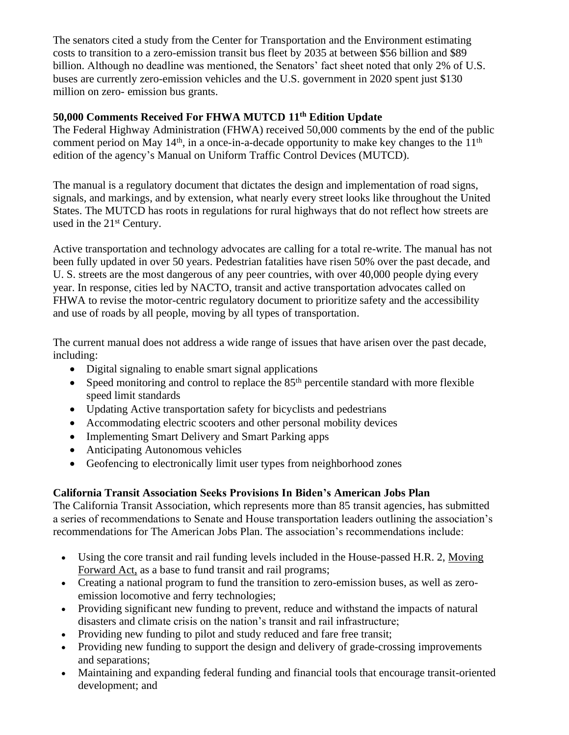The senators cited a study from the Center for Transportation and the Environment estimating costs to transition to a zero-emission transit bus fleet by 2035 at between \$56 billion and \$89 billion. Although no deadline was mentioned, the Senators' fact sheet noted that only 2% of U.S. buses are currently zero-emission vehicles and the U.S. government in 2020 spent just \$130 million on zero- emission bus grants.

#### **50,000 Comments Received For FHWA MUTCD 11th Edition Update**

The Federal Highway Administration (FHWA) received 50,000 comments by the end of the public comment period on May  $14<sup>th</sup>$ , in a once-in-a-decade opportunity to make key changes to the  $11<sup>th</sup>$ edition of the agency's Manual on Uniform Traffic Control Devices (MUTCD).

The manual is a regulatory document that dictates the design and implementation of road signs, signals, and markings, and by extension, what nearly every street looks like throughout the United States. The MUTCD has roots in regulations for rural highways that do not reflect how streets are used in the  $21<sup>st</sup>$  Century.

Active transportation and technology advocates are calling for a total re-write. The manual has not been fully updated in over 50 years. Pedestrian fatalities have risen 50% over the past decade, and U. S. streets are the most dangerous of any peer countries, with over 40,000 people dying every year. In response, cities led by NACTO, transit and active transportation advocates called on FHWA to revise the motor-centric regulatory document to prioritize safety and the accessibility and use of roads by all people, moving by all types of transportation.

The current manual does not address a wide range of issues that have arisen over the past decade, including:

- Digital signaling to enable smart signal applications
- Speed monitoring and control to replace the  $85<sup>th</sup>$  percentile standard with more flexible speed limit standards
- Updating Active transportation safety for bicyclists and pedestrians
- Accommodating electric scooters and other personal mobility devices
- Implementing Smart Delivery and Smart Parking apps
- Anticipating Autonomous vehicles
- Geofencing to electronically limit user types from neighborhood zones

# **California Transit Association Seeks Provisions In Biden's American Jobs Plan**

The California Transit Association, which represents more than 85 transit agencies, has submitted a series of recommendations to Senate and House transportation leaders outlining the association's recommendations for The American Jobs Plan. The association's recommendations include:

- Using the core transit and rail funding levels included in the House-passed H.R. 2, [Moving](https://www.masstransitmag.com/management/article/21123499/moving-forward-framework-is-house-dems-fiveyear-760billion-infrastructure-plan)  [Forward Act,](https://www.masstransitmag.com/management/article/21123499/moving-forward-framework-is-house-dems-fiveyear-760billion-infrastructure-plan) as a base to fund transit and rail programs;
- Creating a national program to fund the transition to zero-emission buses, as well as zeroemission locomotive and ferry technologies;
- Providing significant new funding to prevent, reduce and withstand the impacts of natural disasters and climate crisis on the nation's transit and rail infrastructure;
- Providing new funding to pilot and study reduced and fare free transit;
- Providing new funding to support the design and delivery of grade-crossing improvements and separations;
- Maintaining and expanding federal funding and financial tools that encourage transit-oriented development; and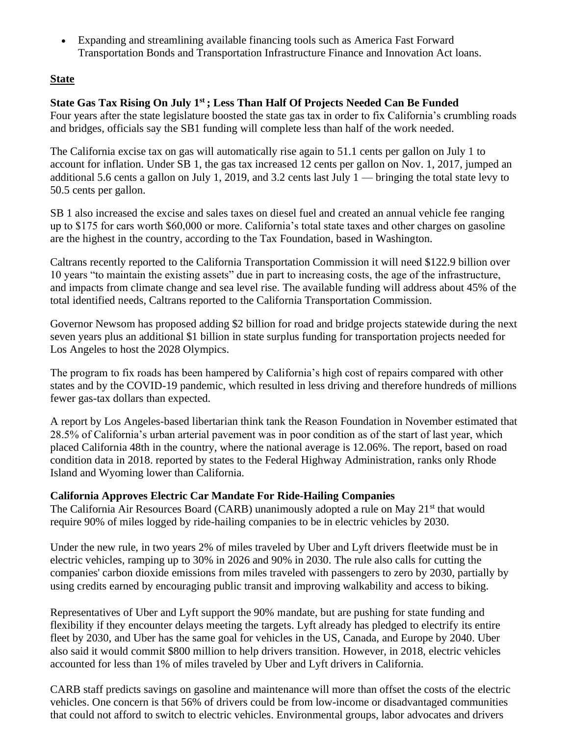• Expanding and streamlining available financing tools such as America Fast Forward Transportation Bonds and Transportation Infrastructure Finance and Innovation Act loans.

### **State**

# **State Gas Tax Rising On July 1st ; Less Than Half Of Projects Needed Can Be Funded**

Four years after the state legislature boosted the state gas tax in order to fix California's crumbling roads and bridges, officials say the SB1 funding will complete less than half of the work needed.

The California excise tax on gas will automatically rise again to 51.1 cents per gallon on July 1 to account for inflation. Under SB 1, the gas tax increased 12 cents per gallon on Nov. 1, 2017, jumped an additional 5.6 cents a gallon on July 1, 2019, and 3.2 cents last July 1 — bringing the total state levy to 50.5 cents per gallon.

SB 1 also increased the excise and sales taxes on diesel fuel and created an annual vehicle fee ranging up to \$175 for cars worth \$60,000 or more. California's total state taxes and other charges on gasoline are the highest in the country, according to the Tax Foundation, based in Washington.

Caltrans recently reported to the California Transportation Commission it will need \$122.9 billion over 10 years "to maintain the existing assets" due in part to increasing costs, the age of the infrastructure, and impacts from climate change and sea level rise. The available funding will address about 45% of the total identified needs, Caltrans reported to the California Transportation Commission.

Governor Newsom has proposed adding \$2 billion for road and bridge projects statewide during the next seven years plus an additional \$1 billion in state surplus funding for transportation projects needed for Los Angeles to host the 2028 Olympics.

The program to fix roads has been hampered by California's high cost of repairs compared with other states and by the COVID-19 pandemic, which resulted in less driving and therefore hundreds of millions fewer gas-tax dollars than expected.

A report by Los Angeles-based libertarian think tank the Reason Foundation in November estimated that 28.5% of California's urban arterial pavement was in poor condition as of the start of last year, which placed California 48th in the country, where the national average is 12.06%. The report, based on road condition data in 2018. reported by states to the Federal Highway Administration, ranks only Rhode Island and Wyoming lower than California.

#### **California Approves Electric Car Mandate For Ride-Hailing Companies**

The California Air Resources Board (CARB) unanimously adopted a rule on May 21<sup>st</sup> that would require 90% of miles logged by ride-hailing companies to be in electric vehicles by 2030.

Under the new rule, in two years 2% of miles traveled by Uber and Lyft drivers fleetwide must be in electric vehicles, ramping up to 30% in 2026 and 90% in 2030. The rule also calls for cutting the companies' carbon dioxide emissions from miles traveled with passengers to zero by 2030, partially by using credits earned by encouraging public transit and improving walkability and access to biking.

Representatives of Uber and Lyft support the 90% mandate, but are pushing for state funding and flexibility if they encounter delays meeting the targets. Lyft already has pledged to electrify [its entire](https://www.lyft.com/blog/posts/leading-the-transition-to-zero-emissions)  [fleet by 2030,](https://www.lyft.com/blog/posts/leading-the-transition-to-zero-emissions) and Uber has the same goal for vehicles in the US, Canada, and Europe by 2040. Uber also said it would commit \$800 million to help drivers transition. However, in 2018, electric vehicles accounted for [less than 1% of miles traveled](https://ww2.arb.ca.gov/sites/default/files/2019-12/SB%201014%20-%20Base%20year%20Emissions%20Inventory_December_2019.pdf) by Uber and Lyft drivers in California.

CARB staff predicts savings on gasoline and maintenance will more than offset the costs of the electric vehicles. One concern is that 56% of drivers could be from low-income or disadvantaged communities that could not afford to switch to electric vehicles. Environmental groups, labor advocates and drivers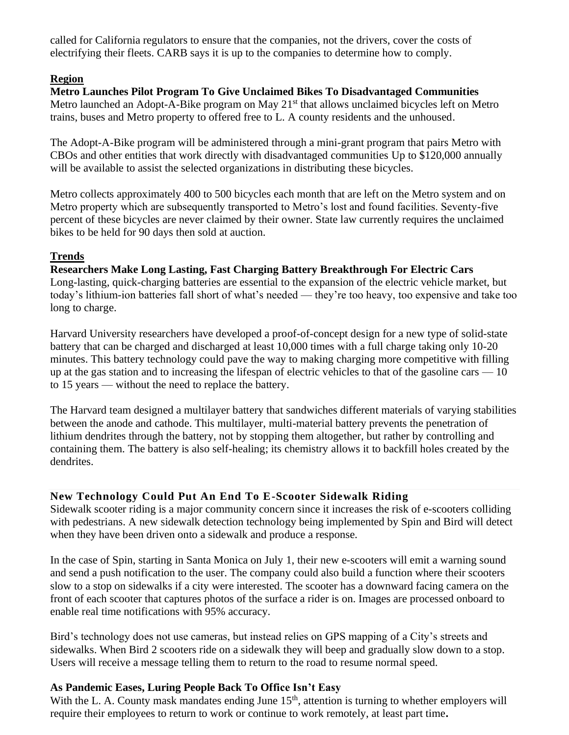called for California regulators to ensure that the companies, not the drivers, cover the costs of electrifying their fleets. CARB says it is up to the companies to determine how to comply.

#### **Region**

**Metro Launches Pilot Program To Give Unclaimed Bikes To Disadvantaged Communities** Metro launched an Adopt-A-Bike program on May  $21<sup>st</sup>$  that allows unclaimed bicycles left on Metro trains, buses and Metro property to offered free to L. A county residents and the unhoused.

The Adopt-A-Bike program will be administered through a mini-grant program that pairs Metro with CBOs and other entities that work directly with disadvantaged communities Up to \$120,000 annually will be available to assist the selected organizations in distributing these bicycles.

Metro collects approximately 400 to 500 bicycles each month that are left on the Metro system and on Metro property which are subsequently transported to Metro's lost and found facilities. Seventy-five percent of these bicycles are never claimed by their owner. State law currently requires the unclaimed bikes to be held for 90 days then sold at auction.

#### **Trends**

# **Researchers Make Long Lasting, Fast Charging Battery Breakthrough For Electric Cars**

Long-lasting, quick-charging batteries are essential to the expansion of the electric vehicle market, but today's lithium-ion batteries fall short of what's needed — they're too heavy, too expensive and take too long to charge.

Harvard University researchers have developed a proof-of-concept design for a new type of solid-state battery that can be charged and discharged at least 10,000 times with a full charge taking only 10-20 minutes. This battery technology could pave the way to making charging more competitive with filling up at the gas station and to increasing the lifespan of electric vehicles to that of the gasoline cars  $-10$ to 15 years — without the need to replace the battery.

The Harvard team designed a multilayer battery that sandwiches different materials of varying stabilities between the anode and cathode. This multilayer, multi-material battery prevents the penetration of lithium dendrites through the battery, not by stopping them altogether, but rather by controlling and containing them. The battery is also self-healing; its chemistry allows it to backfill holes created by the dendrites.

# **New Technology Could Put An End To E-Scooter Sidewalk Riding**

Sidewalk scooter riding is a major community concern since it increases the risk of e-scooters colliding with pedestrians. A new sidewalk detection technology being implemented by Spin and Bird will detect when they have been driven onto a sidewalk and produce a response.

In the case of Spin, starting in Santa Monica on July 1, their new e-scooters will emit a warning sound and send a push notification to the user. The company could also build a function where their scooters slow to a stop on sidewalks if a city were interested. The scooter has a downward facing camera on the front of each scooter that captures photos of the surface a rider is on. Images are processed onboard to enable real time notifications with 95% accuracy.

Bird's technology does not use cameras, but instead relies on GPS mapping of a City's streets and sidewalks. When Bird 2 scooters ride on a sidewalk they will beep and gradually slow down to a stop. Users will receive a message telling them to return to the road to resume normal speed.

# **As Pandemic Eases, Luring People Back To Office Isn't Easy**

With the L. A. County mask mandates ending June 15<sup>th</sup>, attention is turning to whether employers will require their employees to return to work or continue to work remotely, at least part time**.**